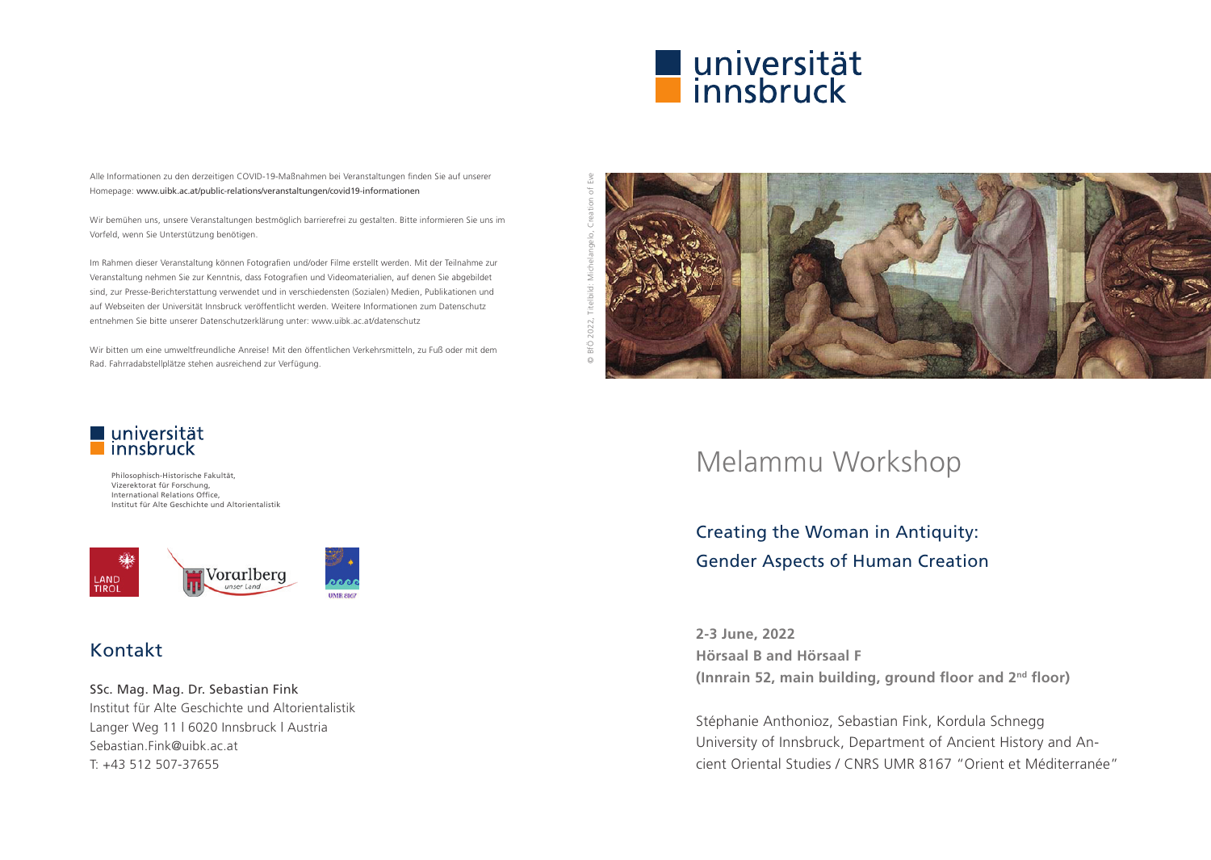

Alle Informationen zu den derzeitigen COVID-19-Maßnahmen bei Veranstaltungen finden Sie auf unserer Homepage: www.uibk.ac.at/public-relations/veranstaltungen/covid19-informationen

Wir bemühen uns, unsere Veranstaltungen bestmöglich barrierefrei zu gestalten. Bitte informieren Sie uns im Vorfeld, wenn Sie Unterstützung benötigen.

Im Rahmen dieser Veranstaltung können Fotografien und/oder Filme erstellt werden. Mit der Teilnahme zur Veranstaltung nehmen Sie zur Kenntnis, dass Fotografien und Videomaterialien, auf denen Sie abgebildet sind, zur Presse-Berichterstattung verwendet und in verschiedensten (Sozialen) Medien, Publikationen und auf Webseiten der Universität Innsbruck veröffentlicht werden. Weitere Informationen zum Datenschutz entnehmen Sie bitte unserer Datenschutzerklärung unter: www.uibk.ac.at/datenschutz

Wir bitten um eine umweltfreundliche Anreise! Mit den öffentlichen Verkehrsmitteln, zu Fuß oder mit dem Rad. Fahrradabstellplätze stehen ausreichend zur Verfügung.



# Melammu Workshop

Creating the Woman in Antiquity: Gender Aspects of Human Creation

**2-3 June, 2022 Hörsaal B and Hörsaal F (Innrain 52, main building, ground floor and 2nd floor)**

Stéphanie Anthonioz, Sebastian Fink, Kordula Schnegg University of Innsbruck, Department of Ancient History and Ancient Oriental Studies / CNRS UMR 8167 "Orient et Méditerranée"

# universität<br>Linnsbruck

Philosophisch-Historische Fakultät, Vizerektorat für Forschung, International Relations Office, Institut für Alte Geschichte und Altorientalistik



## Kontakt

SSc. Mag. Mag. Dr. Sebastian Fink

Institut für Alte Geschichte und Altorientalistik Langer Weg 11 | 6020 Innsbruck | Austria Sebastian.Fink@uibk.ac.at T: +43 512 507-37655